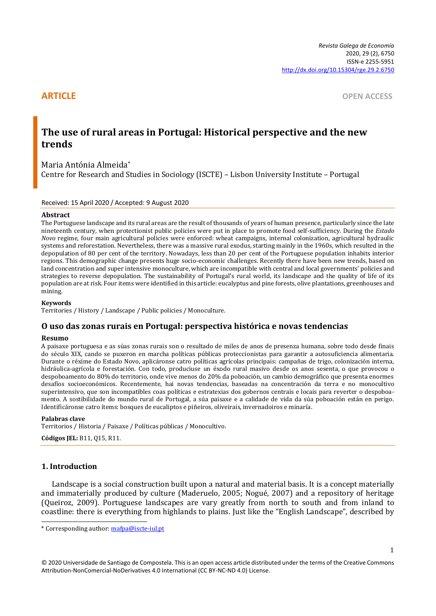**ARTICLE** OPEN ACCESS

# **The use of rural areas in Portugal: Historical perspective and the new trends**

Maria Antónia Almeida\* Centre for Research and Studies in Sociology (ISCTE) – Lisbon University Institute – Portugal

### Received: 15 April 2020 / Accepted: 9 August 2020

#### **Abstract**

The Portuguese landscape and its rural areas are the result of thousands of years of human presence, particularly since the late nineteenth century, when protectionist public policies were put in place to promote food self-sufficiency. During the *Estado Novo* regime, four main agricultural policies were enforced: wheat campaigns, internal colonization, agricultural hydraulic systems and reforestation. Nevertheless, there was a massive rural exodus, starting mainly in the 1960s, which resulted in the depopulation of 80 per cent of the territory. Nowadays, less than 20 per cent of the Portuguese population inhabits interior regions. This demographic change presents huge socio-economic challenges. Recently there have been new trends, based on land concentration and super intensive monoculture, which are incompatible with central and local governments' policies and strategies to reverse depopulation. The sustainability of Portugal's rural world, its landscape and the quality of life of its population are at risk. Four items were identified in this article: eucalyptus and pine forests, olive plantations, greenhouses and mining.

### **Keywords**

Territories / History / Landscape / Public policies / Monoculture.

# **O uso das zonas rurais en Portugal: perspectiva histórica e novas tendencias**

#### **Resumo**

A paisaxe portuguesa e as súas zonas rurais son o resultado de miles de anos de presenza humana, sobre todo desde finais do século XIX, cando se puxeron en marcha políticas públicas proteccionistas para garantir a autosuficiencia alimentaria. Durante o réxime do Estado Novo, aplicáronse catro políticas agrícolas principais: campañas de trigo, colonización interna, hidráulica-agrícola e forestación. Con todo, produciuse un éxodo rural masivo desde os anos sesenta, o que provocou o despoboamento do 80% do territorio, onde vive menos do 20% da poboación, un cambio demográfico que presenta enormes desafíos socioeconómicos. Recentemente, hai novas tendencias, baseadas na concentración da terra e no monocultivo superintensivo, que son incompatibles coas políticas e estratexias dos gobernos centrais e locais para reverter o despoboamento. A sostibilidade do mundo rural de Portugal, a súa paisaxe e a calidade de vida da súa poboación están en perigo. Identificáronse catro ítems: bosques de eucaliptos e piñeiros, oliveirais, invernadoiros e minaría.

#### **Palabras clave**

Territorios / Historia / Paisaxe / Políticas públicas / Monocultivo.

**Códigos JEL:** B11, Q15, R11.

# **1. Introduction**

Landscape is a social construction built upon a natural and material basis. It is a concept materially and immaterially produced by culture (Maderuelo, 2005; Nogué, 2007) and a repository of heritage (Queiroz, 2009). Portuguese landscapes are vary greatly from north to south and from inland to coastline: there is everything from highlands to plains. Just like the "English Landscape", described by

<sup>\*</sup> Corresponding author: [mafpa@iscte-iul.pt](mailto:mafpa@iscte-iul.pt)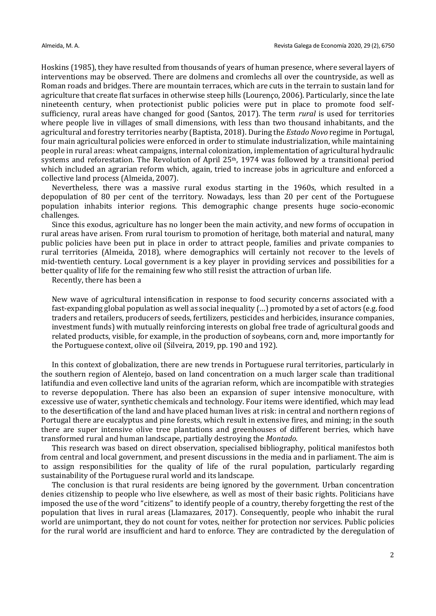Hoskins (1985), they have resulted from thousands of years of human presence, where several layers of interventions may be observed. There are dolmens and cromlechs all over the countryside, as well as Roman roads and bridges. There are mountain terraces, which are cuts in the terrain to sustain land for agriculture that create flat surfaces in otherwise steep hills (Lourenço, 2006). Particularly, since the late nineteenth century, when protectionist public policies were put in place to promote food selfsufficiency, rural areas have changed for good (Santos, 2017). The term *rural* is used for territories where people live in villages of small dimensions, with less than two thousand inhabitants, and the agricultural and forestry territories nearby (Baptista, 2018). During the *Estado Novo* regime in Portugal, four main agricultural policies were enforced in order to stimulate industrialization, while maintaining people in rural areas: wheat campaigns, internal colonization, implementation of agricultural hydraulic systems and reforestation. The Revolution of April  $25<sup>th</sup>$ , 1974 was followed by a transitional period which included an agrarian reform which, again, tried to increase jobs in agriculture and enforced a collective land process (Almeida, 2007).

Nevertheless, there was a massive rural exodus starting in the 1960s, which resulted in a depopulation of 80 per cent of the territory. Nowadays, less than 20 per cent of the Portuguese population inhabits interior regions. This demographic change presents huge socio-economic challenges.

Since this exodus, agriculture has no longer been the main activity, and new forms of occupation in rural areas have arisen. From rural tourism to promotion of heritage, both material and natural, many public policies have been put in place in order to attract people, families and private companies to rural territories (Almeida, 2018), where demographics will certainly not recover to the levels of mid-twentieth century. Local government is a key player in providing services and possibilities for a better quality of life for the remaining few who still resist the attraction of urban life.

Recently, there has been a

New wave of agricultural intensification in response to food security concerns associated with a fast-expanding global population as well as social inequality (…) promoted by a set of actors (e.g. food traders and retailers, producers of seeds, fertilizers, pesticides and herbicides, insurance companies, investment funds) with mutually reinforcing interests on global free trade of agricultural goods and related products, visible, for example, in the production of soybeans, corn and, more importantly for the Portuguese context, olive oil (Silveira, 2019, pp. 190 and 192).

In this context of globalization, there are new trends in Portuguese rural territories, particularly in the southern region of Alentejo, based on land concentration on a much larger scale than traditional latifundia and even collective land units of the agrarian reform, which are incompatible with strategies to reverse depopulation. There has also been an expansion of super intensive monoculture, with excessive use of water, synthetic chemicals and technology. Four items were identified, which may lead to the desertification of the land and have placed human lives at risk: in central and northern regions of Portugal there are eucalyptus and pine forests, which result in extensive fires, and mining; in the south there are super intensive olive tree plantations and greenhouses of different berries, which have transformed rural and human landscape, partially destroying the *Montado*.

This research was based on direct observation, specialised bibliography, political manifestos both from central and local government, and present discussions in the media and in parliament. The aim is to assign responsibilities for the quality of life of the rural population, particularly regarding sustainability of the Portuguese rural world and its landscape.

The conclusion is that rural residents are being ignored by the government. Urban concentration denies citizenship to people who live elsewhere, as well as most of their basic rights. Politicians have imposed the use of the word "citizens" to identify people of a country, thereby forgetting the rest of the population that lives in rural areas (Llamazares, 2017). Consequently, people who inhabit the rural world are unimportant, they do not count for votes, neither for protection nor services. Public policies for the rural world are insufficient and hard to enforce. They are contradicted by the deregulation of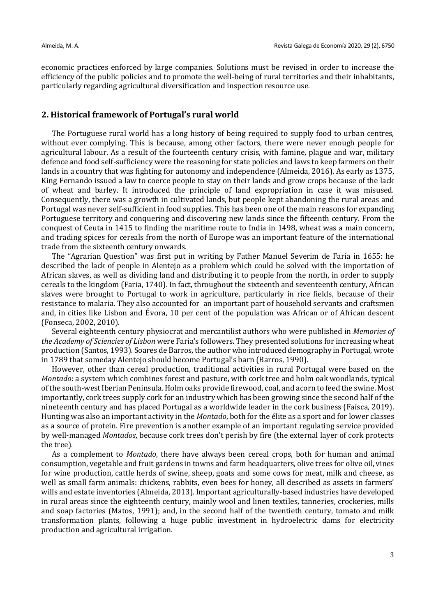economic practices enforced by large companies. Solutions must be revised in order to increase the efficiency of the public policies and to promote the well-being of rural territories and their inhabitants, particularly regarding agricultural diversification and inspection resource use.

# **2. Historical framework of Portugal's rural world**

The Portuguese rural world has a long history of being required to supply food to urban centres, without ever complying. This is because, among other factors, there were never enough people for agricultural labour. As a result of the fourteenth century crisis, with famine, plague and war, military defence and food self-sufficiency were the reasoning for state policies and laws to keep farmers on their lands in a country that was fighting for autonomy and independence (Almeida, 2016). As early as 1375, King Fernando issued a law to coerce people to stay on their lands and grow crops because of the lack of wheat and barley. It introduced the principle of land expropriation in case it was misused. Consequently, there was a growth in cultivated lands, but people kept abandoning the rural areas and Portugal was never self-sufficient in food supplies. This has been one of the main reasons for expanding Portuguese territory and conquering and discovering new lands since the fifteenth century. From the conquest of Ceuta in 1415 to finding the maritime route to India in 1498, wheat was a main concern, and trading spices for cereals from the north of Europe was an important feature of the international trade from the sixteenth century onwards.

The "Agrarian Question" was first put in writing by Father Manuel Severim de Faria in 1655: he described the lack of people in Alentejo as a problem which could be solved with the importation of African slaves, as well as dividing land and distributing it to people from the north, in order to supply cereals to the kingdom (Faria, 1740). In fact, throughout the sixteenth and seventeenth century, African slaves were brought to Portugal to work in agriculture, particularly in rice fields, because of their resistance to malaria. They also accounted for an important part of household servants and craftsmen and, in cities like Lisbon and Évora, 10 per cent of the population was African or of African descent (Fonseca, 2002, 2010).

Several eighteenth century physiocrat and mercantilist authors who were published in *Memories of the Academy of Sciencies of Lisbon* were Faria's followers. They presented solutions for increasing wheat production (Santos, 1993). Soares de Barros, the author who introduced demography in Portugal, wrote in 1789 that someday Alentejo should become Portugal's barn (Barros, 1990).

However, other than cereal production, traditional activities in rural Portugal were based on the *Montado*: a system which combines forest and pasture, with cork tree and holm oak woodlands, typical of the south-west Iberian Peninsula. Holm oaks provide firewood, coal, and acorn to feed the swine. Most importantly, cork trees supply cork for an industry which has been growing since the second half of the nineteenth century and has placed Portugal as a worldwide leader in the cork business (Faísca, 2019). Hunting was also an important activity in the *Montado*, both for the élite as a sport and for lower classes as a source of protein. Fire prevention is another example of an important regulating service provided by well-managed *Montados*, because cork trees don't perish by fire (the external layer of cork protects the tree).

As a complement to *Montado*, there have always been cereal crops, both for human and animal consumption, vegetable and fruit gardens in towns and farm headquarters, olive trees for olive oil, vines for wine production, cattle herds of swine, sheep, goats and some cows for meat, milk and cheese, as well as small farm animals: chickens, rabbits, even bees for honey, all described as assets in farmers' wills and estate inventories (Almeida, 2013). Important agriculturally-based industries have developed in rural areas since the eighteenth century, mainly wool and linen textiles, tanneries, crockeries, mills and soap factories (Matos, 1991); and, in the second half of the twentieth century, tomato and milk transformation plants, following a huge public investment in hydroelectric dams for electricity production and agricultural irrigation.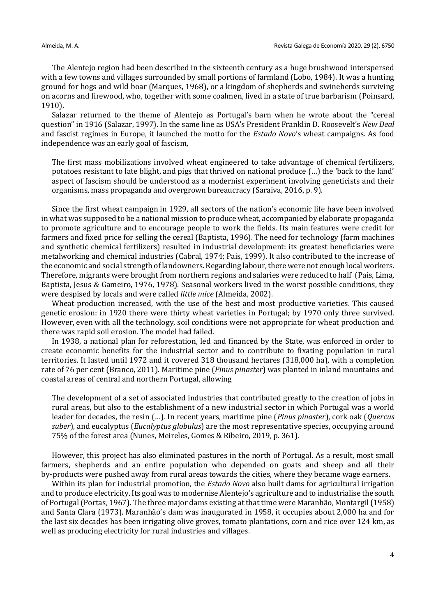The Alentejo region had been described in the sixteenth century as a huge brushwood interspersed with a few towns and villages surrounded by small portions of farmland (Lobo, 1984). It was a hunting ground for hogs and wild boar (Marques, 1968), or a kingdom of shepherds and swineherds surviving on acorns and firewood, who, together with some coalmen, lived in a state of true barbarism (Poinsard, 1910).

Salazar returned to the theme of Alentejo as Portugal's barn when he wrote about the "cereal question" in 1916 (Salazar, 1997). In the same line as USA's President Franklin D. Roosevelt's *New Deal* and fascist regimes in Europe, it launched the motto for the *Estado Novo*'s wheat campaigns. As food independence was an early goal of fascism,

The first mass mobilizations involved wheat engineered to take advantage of chemical fertilizers, potatoes resistant to late blight, and pigs that thrived on national produce (…) the 'back to the land' aspect of fascism should be understood as a modernist experiment involving geneticists and their organisms, mass propaganda and overgrown bureaucracy (Saraiva, 2016, p. 9).

Since the first wheat campaign in 1929, all sectors of the nation's economic life have been involved in what was supposed to be a national mission to produce wheat, accompanied by elaborate propaganda to promote agriculture and to encourage people to work the fields. Its main features were credit for farmers and fixed price for selling the cereal (Baptista, 1996). The need for technology (farm machines and synthetic chemical fertilizers) resulted in industrial development: its greatest beneficiaries were metalworking and chemical industries (Cabral, 1974; Pais, 1999). It also contributed to the increase of the economic and social strength of landowners. Regarding labour, there were not enough local workers. Therefore, migrants were brought from northern regions and salaries were reduced to half (Pais, Lima, Baptista, Jesus & Gameiro, 1976, 1978). Seasonal workers lived in the worst possible conditions, they were despised by locals and were called *little mice* (Almeida, 2002).

Wheat production increased, with the use of the best and most productive varieties. This caused genetic erosion: in 1920 there were thirty wheat varieties in Portugal; by 1970 only three survived. However, even with all the technology, soil conditions were not appropriate for wheat production and there was rapid soil erosion. The model had failed.

In 1938, a national plan for reforestation, led and financed by the State, was enforced in order to create economic benefits for the industrial sector and to contribute to fixating population in rural territories. It lasted until 1972 and it covered 318 thousand hectares (318,000 ha), with a completion rate of 76 per cent (Branco, 2011). Maritime pine (*Pinus pinaster*) was planted in inland mountains and coastal areas of central and northern Portugal, allowing

The development of a set of associated industries that contributed greatly to the creation of jobs in rural areas, but also to the establishment of a new industrial sector in which Portugal was a world leader for decades, the resin (…). In recent years, maritime pine (*Pinus pinaster*), cork oak (*Quercus suber*), and eucalyptus (*Eucalyptus globulus*) are the most representative species, occupying around 75% of the forest area (Nunes, Meireles, Gomes & Ribeiro, 2019, p. 361).

However, this project has also eliminated pastures in the north of Portugal. As a result, most small farmers, shepherds and an entire population who depended on goats and sheep and all their by-products were pushed away from rural areas towards the cities, where they became wage earners.

Within its plan for industrial promotion, the *Estado Novo* also built dams for agricultural irrigation and to produce electricity. Its goal was to modernise Alentejo's agriculture and to industrialise the south of Portugal (Portas, 1967). The three major dams existing at that time were Maranhão, Montargil (1958) and Santa Clara (1973). Maranhão's dam was inaugurated in 1958, it occupies about 2,000 ha and for the last six decades has been irrigating olive groves, tomato plantations, corn and rice over 124 km, as well as producing electricity for rural industries and villages.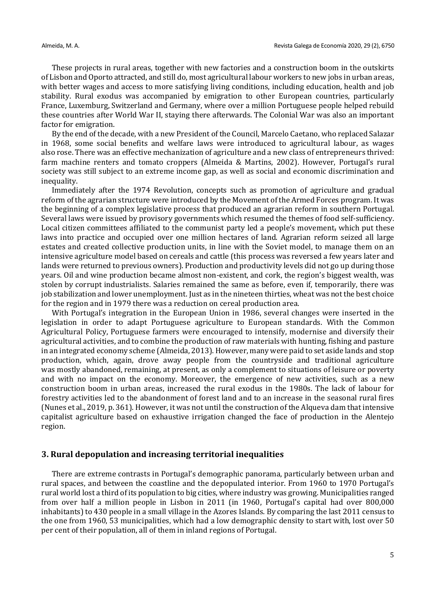These projects in rural areas, together with new factories and a construction boom in the outskirts of Lisbon and Oporto attracted, and still do, most agricultural labour workers to new jobs in urban areas, with better wages and access to more satisfying living conditions, including education, health and job stability. Rural exodus was accompanied by emigration to other European countries, particularly France, Luxemburg, Switzerland and Germany, where over a million Portuguese people helped rebuild these countries after World War II, staying there afterwards. The Colonial War was also an important factor for emigration.

By the end of the decade, with a new President of the Council, Marcelo Caetano, who replaced Salazar in 1968, some social benefits and welfare laws were introduced to agricultural labour, as wages also rose. There was an effective mechanization of agriculture and a new class of entrepreneurs thrived: farm machine renters and tomato croppers (Almeida & Martins, 2002). However, Portugal's rural society was still subject to an extreme income gap, as well as social and economic discrimination and inequality.

Immediately after the 1974 Revolution, concepts such as promotion of agriculture and gradual reform of the agrarian structure were introduced by the Movement of the Armed Forces program. It was the beginning of a complex legislative process that produced an agrarian reform in southern Portugal. Several laws were issued by provisory governments which resumed the themes of food self-sufficiency. Local citizen committees affiliated to the communist party led a people's movement, which put these laws into practice and occupied over one million hectares of land. Agrarian reform seized all large estates and created collective production units, in line with the Soviet model, to manage them on an intensive agriculture model based on cereals and cattle (this process was reversed a few years later and lands were returned to previous owners). Production and productivity levels did not go up during those years. Oil and wine production became almost non-existent, and cork, the region's biggest wealth, was stolen by corrupt industrialists. Salaries remained the same as before, even if, temporarily, there was job stabilization and lower unemployment. Just as in the nineteen thirties, wheat was not the best choice for the region and in 1979 there was a reduction on cereal production area.

With Portugal's integration in the European Union in 1986, several changes were inserted in the legislation in order to adapt Portuguese agriculture to European standards. With the Common Agricultural Policy, Portuguese farmers were encouraged to intensify, modernise and diversify their agricultural activities, and to combine the production of raw materials with hunting, fishing and pasture in an integrated economy scheme (Almeida, 2013). However, many were paid to set aside lands and stop production, which, again, drove away people from the countryside and traditional agriculture was mostly abandoned, remaining, at present, as only a complement to situations of leisure or poverty and with no impact on the economy. Moreover, the emergence of new activities, such as a new construction boom in urban areas, increased the rural exodus in the 1980s. The lack of labour for forestry activities led to the abandonment of forest land and to an increase in the seasonal rural fires (Nunes et al., 2019, p. 361). However, it was not until the construction of the Alqueva dam that intensive capitalist agriculture based on exhaustive irrigation changed the face of production in the Alentejo region.

## **3. Rural depopulation and increasing territorial inequalities**

There are extreme contrasts in Portugal's demographic panorama, particularly between urban and rural spaces, and between the coastline and the depopulated interior. From 1960 to 1970 Portugal's rural world lost a third of its population to big cities, where industry was growing. Municipalities ranged from over half a million people in Lisbon in 2011 (in 1960, Portugal's capital had over 800,000 inhabitants) to 430 people in a small village in the Azores Islands. By comparing the last 2011 census to the one from 1960, 53 municipalities, which had a low demographic density to start with, lost over 50 per cent of their population, all of them in inland regions of Portugal.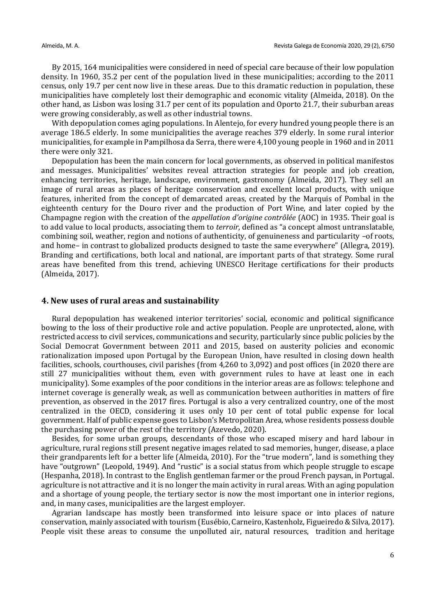By 2015, 164 municipalities were considered in need of special care because of their low population density. In 1960, 35.2 per cent of the population lived in these municipalities; according to the 2011 census, only 19.7 per cent now live in these areas. Due to this dramatic reduction in population, these municipalities have completely lost their demographic and economic vitality (Almeida, 2018). On the other hand, as Lisbon was losing 31.7 per cent of its population and Oporto 21.7, their suburban areas were growing considerably, as well as other industrial towns.

With depopulation comes aging populations. In Alentejo, for every hundred young people there is an average 186.5 elderly. In some municipalities the average reaches 379 elderly. In some rural interior municipalities, for example in Pampilhosa da Serra, there were 4,100 young people in 1960 and in 2011 there were only 321.

Depopulation has been the main concern for local governments, as observed in political manifestos and messages. Municipalities' websites reveal attraction strategies for people and job creation, enhancing territories, heritage, landscape, environment, gastronomy (Almeida, 2017). They sell an image of rural areas as places of heritage conservation and excellent local products, with unique features, inherited from the concept of demarcated areas, created by the Marquis of Pombal in the eighteenth century for the Douro river and the production of Port Wine, and later copied by the Champagne region with the creation of the *appellation d'origine contrôlée* (AOC) in 1935. Their goal is to add value to local products, associating them to *terroir*, defined as "a concept almost untranslatable, combining soil, weather, region and notions of authenticity, of genuineness and particularity –of roots, and home– in contrast to globalized products designed to taste the same everywhere" (Allegra, 2019). Branding and certifications, both local and national, are important parts of that strategy. Some rural areas have benefited from this trend, achieving UNESCO Heritage certifications for their products (Almeida, 2017).

# **4. New uses of rural areas and sustainability**

Rural depopulation has weakened interior territories' social, economic and political significance bowing to the loss of their productive role and active population. People are unprotected, alone, with restricted access to civil services, communications and security, particularly since public policies by the Social Democrat Government between 2011 and 2015, based on austerity policies and economic rationalization imposed upon Portugal by the European Union, have resulted in closing down health facilities, schools, courthouses, civil parishes (from 4,260 to 3,092) and post offices (in 2020 there are still 27 municipalities without them, even with government rules to have at least one in each municipality). Some examples of the poor conditions in the interior areas are as follows: telephone and internet coverage is generally weak, as well as communication between authorities in matters of fire prevention, as observed in the 2017 fires. Portugal is also a very centralized country, one of the most centralized in the OECD, considering it uses only 10 per cent of total public expense for local government. Half of public expense goes to Lisbon's Metropolitan Area, whose residents possess double the purchasing power of the rest of the territory (Azevedo, 2020).

Besides, for some urban groups, descendants of those who escaped misery and hard labour in agriculture, rural regions still present negative images related to sad memories, hunger, disease, a place their grandparents left for a better life (Almeida, 2010). For the "true modern", land is something they have "outgrown" (Leopold, 1949). And "rustic" is a social status from which people struggle to escape (Hespanha, 2018). In contrast to the English gentleman farmer or the proud French paysan, in Portugal. agriculture is not attractive and it is no longer the main activity in rural areas. With an aging population and a shortage of young people, the tertiary sector is now the most important one in interior regions, and, in many cases, municipalities are the largest employer.

Agrarian landscape has mostly been transformed into leisure space or into places of nature conservation, mainly associated with tourism (Eusébio, Carneiro, Kastenholz, Figueiredo & Silva, 2017). People visit these areas to consume the unpolluted air, natural resources, tradition and heritage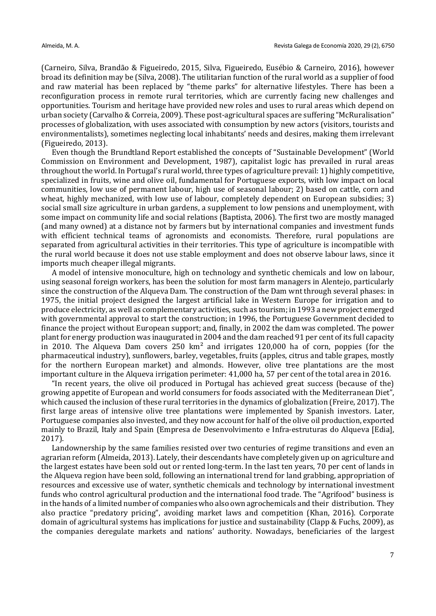(Carneiro, Silva, Brandão & Figueiredo, 2015, Silva, Figueiredo, Eusébio & Carneiro, 2016), however broad its definition may be (Silva, 2008). The utilitarian function of the rural world as a supplier of food and raw material has been replaced by "theme parks" for alternative lifestyles. There has been a reconfiguration process in remote rural territories, which are currently facing new challenges and opportunities. Tourism and heritage have provided new roles and uses to rural areas which depend on urban society (Carvalho & Correia, 2009). These post-agricultural spaces are suffering "McRuralisation" processes of globalization, with uses associated with consumption by new actors (visitors, tourists and environmentalists), sometimes neglecting local inhabitants' needs and desires, making them irrelevant (Figueiredo, 2013).

Even though the Brundtland Report established the concepts of "Sustainable Development" (World Commission on Environment and Development, 1987), capitalist logic has prevailed in rural areas throughout the world. In Portugal's rural world, three types of agriculture prevail: 1) highly competitive, specialized in fruits, wine and olive oil, fundamental for Portuguese exports, with low impact on local communities, low use of permanent labour, high use of seasonal labour; 2) based on cattle, corn and wheat, highly mechanized, with low use of labour, completely dependent on European subsidies; 3) social small size agriculture in urban gardens, a supplement to low pensions and unemployment, with some impact on community life and social relations (Baptista, 2006). The first two are mostly managed (and many owned) at a distance not by farmers but by international companies and investment funds with efficient technical teams of agronomists and economists. Therefore, rural populations are separated from agricultural activities in their territories. This type of agriculture is incompatible with the rural world because it does not use stable employment and does not observe labour laws, since it imports much cheaper illegal migrants.

A model of intensive monoculture, high on technology and synthetic chemicals and low on labour, using seasonal foreign workers, has been the solution for most farm managers in Alentejo, particularly since the construction of the Alqueva Dam. The construction of the Dam wnt through several phases: in 1975, the initial project designed the largest artificial lake in Western Europe for irrigation and to produce electricity, as well as complementary activities, such as tourism; in 1993 a new project emerged with governmental approval to start the construction; in 1996, the Portuguese Government decided to finance the project without European support; and, finally, in 2002 the dam was completed. The power plant for energy production was inaugurated in 2004 and the dam reached 91 per cent of its full capacity in 2010. The Alqueva Dam covers 250  $km^2$  and irrigates 120,000 ha of corn, poppies (for the pharmaceutical industry), sunflowers, barley, vegetables, fruits (apples, citrus and table grapes, mostly for the northern European market) and almonds. However, olive tree plantations are the most important culture in the Alqueva irrigation perimeter: 41,000 ha, 57 per cent of the total area in 2016.

"In recent years, the olive oil produced in Portugal has achieved great success (because of the) growing appetite of European and world consumers for foods associated with the Mediterranean Diet", which caused the inclusion of these rural territories in the dynamics of globalization (Freire, 2017). The first large areas of intensive olive tree plantations were implemented by Spanish investors. Later, Portuguese companies also invested, and they now account for half of the olive oil production, exported mainly to Brazil, Italy and Spain (Empresa de Desenvolvimento e Infra-estruturas do Alqueva [Edia], 2017).

Landownership by the same families resisted over two centuries of regime transitions and even an agrarian reform (Almeida, 2013). Lately, their descendants have completely given up on agriculture and the largest estates have been sold out or rented long-term. In the last ten years, 70 per cent of lands in the Alqueva region have been sold, following an international trend for land grabbing, appropriation of resources and excessive use of water, synthetic chemicals and technology by international investment funds who control agricultural production and the international food trade. The "Agrifood" business is in the hands of a limited number of companies who also own agrochemicals and their distribution. They also practice "predatory pricing", avoiding market laws and competition (Khan, 2016). Corporate domain of agricultural systems has implications for justice and sustainability (Clapp & Fuchs, 2009), as the companies deregulate markets and nations' authority. Nowadays, beneficiaries of the largest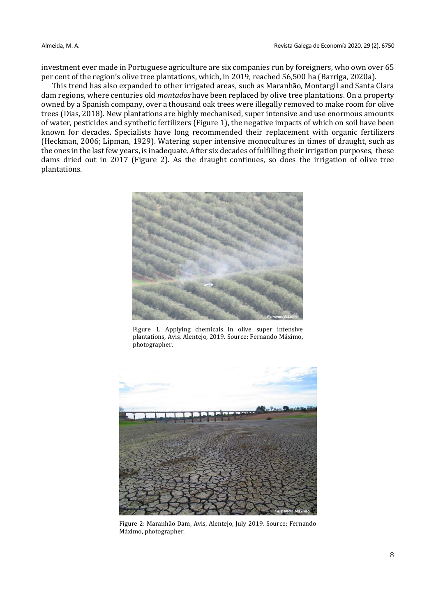investment ever made in Portuguese agriculture are six companies run by foreigners, who own over 65 per cent of the region's olive tree plantations, which, in 2019, reached 56,500 ha (Barriga, 2020a).

This trend has also expanded to other irrigated areas, such as Maranhão, Montargil and Santa Clara dam regions, where centuries old *montados* have been replaced by olive tree plantations. On a property owned by a Spanish company, over a thousand oak trees were illegally removed to make room for olive trees (Dias, 2018). New plantations are highly mechanised, super intensive and use enormous amounts of water, pesticides and synthetic fertilizers (Figure 1), the negative impacts of which on soil have been known for decades. Specialists have long recommended their replacement with organic fertilizers (Heckman, 2006; Lipman, 1929). Watering super intensive monocultures in times of draught, such as the ones in the last few years, is inadequate. After six decades of fulfilling their irrigation purposes, these dams dried out in 2017 (Figure 2). As the draught continues, so does the irrigation of olive tree plantations.



Figure 1. Applying chemicals in olive super intensive plantations, Avis, Alentejo, 2019. Source: Fernando Máximo, photographer.



Figure 2: Maranhão Dam, Avis, Alentejo, July 2019. Source: Fernando Máximo, photographer.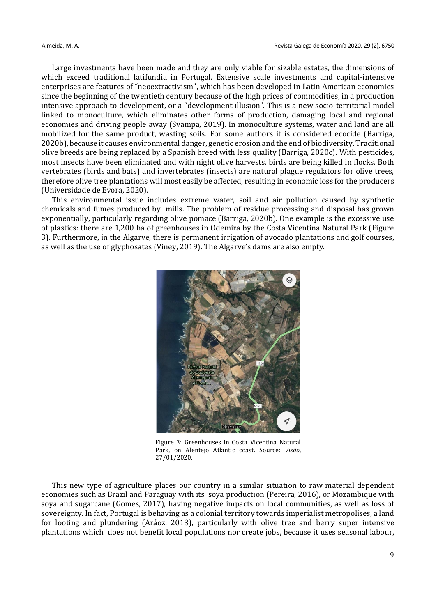Large investments have been made and they are only viable for sizable estates, the dimensions of which exceed traditional latifundia in Portugal. Extensive scale investments and capital-intensive enterprises are features of "neoextractivism", which has been developed in Latin American economies since the beginning of the twentieth century because of the high prices of commodities, in a production intensive approach to development, or a "development illusion". This is a new socio-territorial model linked to monoculture, which eliminates other forms of production, damaging local and regional economies and driving people away (Svampa, 2019). In monoculture systems, water and land are all mobilized for the same product, wasting soils. For some authors it is considered ecocide (Barriga, 2020b), because it causes environmental danger, genetic erosion and the end of biodiversity. Traditional olive breeds are being replaced by a Spanish breed with less quality (Barriga, 2020c). With pesticides, most insects have been eliminated and with night olive harvests, birds are being killed in flocks. Both vertebrates (birds and bats) and invertebrates (insects) are natural plague regulators for olive trees, therefore olive tree plantations will most easily be affected, resulting in economic loss for the producers (Universidade de Évora, 2020).

This environmental issue includes extreme water, soil and air pollution caused by synthetic chemicals and fumes produced by mills. The problem of residue processing and disposal has grown exponentially, particularly regarding olive pomace (Barriga, 2020b). One example is the excessive use of plastics: there are 1,200 ha of greenhouses in Odemira by the Costa Vicentina Natural Park (Figure 3). Furthermore, in the Algarve, there is permanent irrigation of avocado plantations and golf courses, as well as the use of glyphosates (Viney, 2019). The Algarve's dams are also empty.



Figure 3: Greenhouses in Costa Vicentina Natural Park, on Alentejo Atlantic coast. Source: *Visão*, 27/01/2020.

This new type of agriculture places our country in a similar situation to raw material dependent economies such as Brazil and Paraguay with its soya production (Pereira, 2016), or Mozambique with soya and sugarcane (Gomes, 2017), having negative impacts on local communities, as well as loss of sovereignty. In fact, Portugal is behaving as a colonial territory towards imperialist metropolises, a land for looting and plundering (Aráoz, 2013), particularly with olive tree and berry super intensive plantations which does not benefit local populations nor create jobs, because it uses seasonal labour,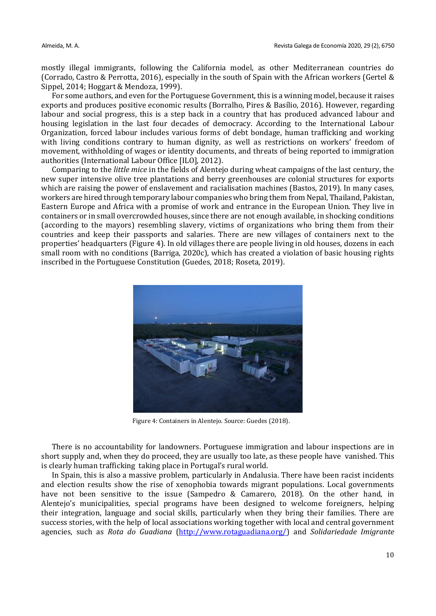mostly illegal immigrants, following the California model, as other Mediterranean countries do (Corrado, Castro & Perrotta, 2016), especially in the south of Spain with the African workers (Gertel & Sippel, 2014; Hoggart & Mendoza, 1999).

For some authors, and even for the Portuguese Government, this is a winning model, because it raises exports and produces positive economic results (Borralho, Pires & Basílio, 2016). However, regarding labour and social progress, this is a step back in a country that has produced advanced labour and housing legislation in the last four decades of democracy. According to the International Labour Organization, forced labour includes various forms of debt bondage, human trafficking and working with living conditions contrary to human dignity, as well as restrictions on workers' freedom of movement, withholding of wages or identity documents, and threats of being reported to immigration authorities (International Labour Office [ILO], 2012).

Comparing to the *little mice* in the fields of Alentejo during wheat campaigns of the last century, the new super intensive olive tree plantations and berry greenhouses are colonial structures for exports which are raising the power of enslavement and racialisation machines (Bastos, 2019). In many cases, workers are hired through temporary labour companies who bring them from Nepal, Thailand, Pakistan, Eastern Europe and Africa with a promise of work and entrance in the European Union. They live in containers or in small overcrowded houses, since there are not enough available, in shocking conditions (according to the mayors) resembling slavery, victims of organizations who bring them from their countries and keep their passports and salaries. There are new villages of containers next to the properties' headquarters (Figure 4). In old villages there are people living in old houses, dozens in each small room with no conditions (Barriga, 2020c), which has created a violation of basic housing rights inscribed in the Portuguese Constitution (Guedes, 2018; Roseta, 2019).



Figure 4: Containers in Alentejo. Source: Guedes (2018).

There is no accountability for landowners. Portuguese immigration and labour inspections are in short supply and, when they do proceed, they are usually too late, as these people have vanished. This is clearly human trafficking taking place in Portugal's rural world.

In Spain, this is also a massive problem, particularly in Andalusia. There have been racist incidents and election results show the rise of xenophobia towards migrant populations. Local governments have not been sensitive to the issue (Sampedro & Camarero, 2018). On the other hand, in Alentejo's municipalities, special programs have been designed to welcome foreigners, helping their integration, language and social skills, particularly when they bring their families. There are success stories, with the help of local associations working together with local and central government agencies, such as *Rota do Guadiana* [\(http://www.rotaguadiana.org/\)](http://www.rotaguadiana.org/) and *Solidariedade Imigrante*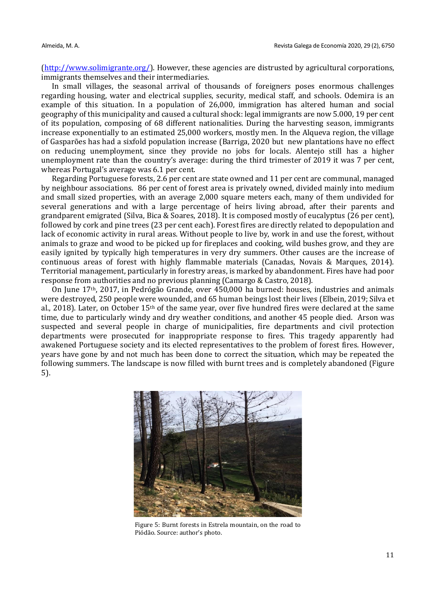[\(http://www.solimigrante.org/\)](http://www.solimigrante.org/). However, these agencies are distrusted by agricultural corporations, immigrants themselves and their intermediaries.

In small villages, the seasonal arrival of thousands of foreigners poses enormous challenges regarding housing, water and electrical supplies, security, medical staff, and schools. Odemira is an example of this situation. In a population of 26,000, immigration has altered human and social geography of this municipality and caused a cultural shock: legal immigrants are now 5.000, 19 per cent of its population, composing of 68 different nationalities. During the harvesting season, immigrants increase exponentially to an estimated 25,000 workers, mostly men. In the Alqueva region, the village of Gasparões has had a sixfold population increase (Barriga, 2020 but new plantations have no effect on reducing unemployment, since they provide no jobs for locals. Alentejo still has a higher unemployment rate than the country's average: during the third trimester of 2019 it was 7 per cent, whereas Portugal's average was 6.1 per cent.

Regarding Portuguese forests, 2.6 per cent are state owned and 11 per cent are communal, managed by neighbour associations. 86 per cent of forest area is privately owned, divided mainly into medium and small sized properties, with an average 2,000 square meters each, many of them undivided for several generations and with a large percentage of heirs living abroad, after their parents and grandparent emigrated (Silva, Bica & Soares, 2018). It is composed mostly of eucalyptus (26 per cent), followed by cork and pine trees (23 per cent each). Forest fires are directly related to depopulation and lack of economic activity in rural areas. Without people to live by, work in and use the forest, without animals to graze and wood to be picked up for fireplaces and cooking, wild bushes grow, and they are easily ignited by typically high temperatures in very dry summers. Other causes are the increase of continuous areas of forest with highly flammable materials (Canadas, Novais & Marques, 2014). Territorial management, particularly in forestry areas, is marked by abandonment. Fires have had poor response from authorities and no previous planning (Camargo & Castro, 2018).

On June 17th, 2017, in Pedrógão Grande, over 450,000 ha burned: houses, industries and animals were destroyed, 250 people were wounded, and 65 human beings lost their lives (Elbein, 2019; Silva et al., 2018). Later, on October  $15<sup>th</sup>$  of the same year, over five hundred fires were declared at the same time, due to particularly windy and dry weather conditions, and another 45 people died. Arson was suspected and several people in charge of municipalities, fire departments and civil protection departments were prosecuted for inappropriate response to fires. This tragedy apparently had awakened Portuguese society and its elected representatives to the problem of forest fires. However, years have gone by and not much has been done to correct the situation, which may be repeated the following summers. The landscape is now filled with burnt trees and is completely abandoned (Figure 5).



Figure 5: Burnt forests in Estrela mountain, on the road to Piódão. Source: author's photo.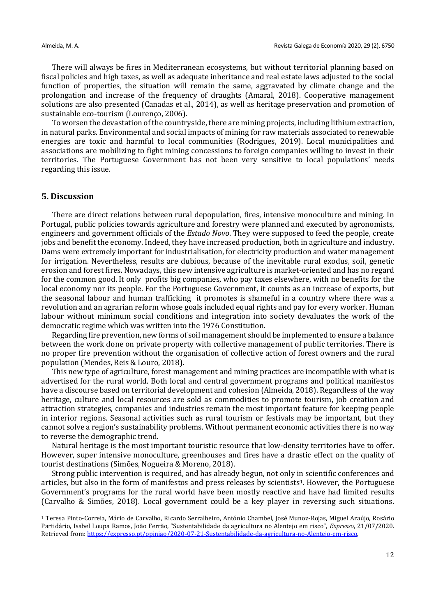There will always be fires in Mediterranean ecosystems, but without territorial planning based on fiscal policies and high taxes, as well as adequate inheritance and real estate laws adjusted to the social function of properties, the situation will remain the same, aggravated by climate change and the prolongation and increase of the frequency of draughts (Amaral, 2018). Cooperative management solutions are also presented (Canadas et al., 2014), as well as heritage preservation and promotion of sustainable eco-tourism (Lourenço, 2006).

To worsen the devastation of the countryside, there are mining projects, including lithium extraction, in natural parks. Environmental and social impacts of mining for raw materials associated to renewable energies are toxic and harmful to local communities (Rodrigues, 2019). Local municipalities and associations are mobilizing to fight mining concessions to foreign companies willing to invest in their territories. The Portuguese Government has not been very sensitive to local populations' needs regarding this issue.

# **5. Discussion**

There are direct relations between rural depopulation, fires, intensive monoculture and mining. In Portugal, public policies towards agriculture and forestry were planned and executed by agronomists, engineers and government officials of the *Estado Novo*. They were supposed to feed the people, create jobs and benefit the economy. Indeed, they have increased production, both in agriculture and industry. Dams were extremely important for industrialisation, for electricity production and water management for irrigation. Nevertheless, results are dubious, because of the inevitable rural exodus, soil, genetic erosion and forest fires. Nowadays, this new intensive agriculture is market-oriented and has no regard for the common good. It only profits big companies, who pay taxes elsewhere, with no benefits for the local economy nor its people. For the Portuguese Government, it counts as an increase of exports, but the seasonal labour and human trafficking it promotes is shameful in a country where there was a revolution and an agrarian reform whose goals included equal rights and pay for every worker. Human labour without minimum social conditions and integration into society devaluates the work of the democratic regime which was written into the 1976 Constitution.

Regarding fire prevention, new forms of soil management should be implemented to ensure a balance between the work done on private property with collective management of public territories. There is no proper fire prevention without the organisation of collective action of forest owners and the rural population (Mendes, Reis & Louro, 2018).

This new type of agriculture, forest management and mining practices are incompatible with what is advertised for the rural world. Both local and central government programs and political manifestos have a discourse based on territorial development and cohesion (Almeida, 2018). Regardless of the way heritage, culture and local resources are sold as commodities to promote tourism, job creation and attraction strategies, companies and industries remain the most important feature for keeping people in interior regions. Seasonal activities such as rural tourism or festivals may be important, but they cannot solve a region's sustainability problems. Without permanent economic activities there is no way to reverse the demographic trend.

Natural heritage is the most important touristic resource that low-density territories have to offer. However, super intensive monoculture, greenhouses and fires have a drastic effect on the quality of tourist destinations (Simões, Nogueira & Moreno, 2018).

Strong public intervention is required, and has already begun, not only in scientific conferences and articles, but also in the form of manifestos and press releases by scientists<sup>1</sup>. However, the Portuguese Government's programs for the rural world have been mostly reactive and have had limited results (Carvalho & Simões, 2018). Local government could be a key player in reversing such situations.

<sup>1</sup> Teresa Pinto-Correia, Mário de Carvalho, Ricardo Serralheiro, António Chambel, José Munoz-Rojas, Miguel Araújo, Rosário Partidário, Isabel Loupa Ramos, João Ferrão, "Sustentabilidade da agricultura no Alentejo em risco", *Expresso*, 21/07/2020. Retrieved from: [https://expresso.pt/opiniao/2020-07-21-Sustentabilidade-da-agricultura-no-Alentejo-em-risco.](https://expresso.pt/opiniao/2020-07-21-Sustentabilidade-da-agricultura-no-Alentejo-em-risco)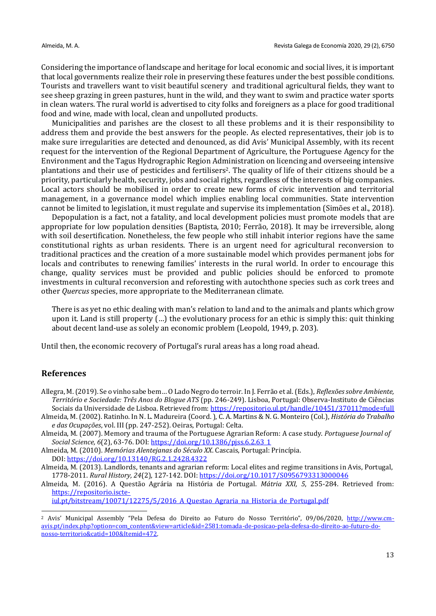Considering the importance of landscape and heritage for local economic and social lives, it is important that local governments realize their role in preserving these features under the best possible conditions. Tourists and travellers want to visit beautiful scenery and traditional agricultural fields, they want to see sheep grazing in green pastures, hunt in the wild, and they want to swim and practice water sports in clean waters. The rural world is advertised to city folks and foreigners as a place for good traditional food and wine, made with local, clean and unpolluted products.

Municipalities and parishes are the closest to all these problems and it is their responsibility to address them and provide the best answers for the people. As elected representatives, their job is to make sure irregularities are detected and denounced, as did Avis' Municipal Assembly, with its recent request for the intervention of the Regional Department of Agriculture, the Portuguese Agency for the Environment and the Tagus Hydrographic Region Administration on licencing and overseeing intensive plantations and their use of pesticides and fertilisers2. The quality of life of their citizens should be a priority, particularly health, security, jobs and social rights, regardless of the interests of big companies. Local actors should be mobilised in order to create new forms of civic intervention and territorial management, in a governance model which implies enabling local communities. State intervention cannot be limited to legislation, it must regulate and supervise its implementation (Simões et al., 2018).

Depopulation is a fact, not a fatality, and local development policies must promote models that are appropriate for low population densities (Baptista, 2010; Ferrão, 2018). It may be irreversible, along with soil desertification. Nonetheless, the few people who still inhabit interior regions have the same constitutional rights as urban residents. There is an urgent need for agricultural reconversion to traditional practices and the creation of a more sustainable model which provides permanent jobs for locals and contributes to renewing families' interests in the rural world. In order to encourage this change, quality services must be provided and public policies should be enforced to promote investments in cultural reconversion and reforesting with autochthone species such as cork trees and other *Quercus* species, more appropriate to the Mediterranean climate.

There is as yet no ethic dealing with man's relation to land and to the animals and plants which grow upon it. Land is still property (…) the evolutionary process for an ethic is simply this: quit thinking about decent land-use as solely an economic problem (Leopold, 1949, p. 203).

Until then, the economic recovery of Portugal's rural areas has a long road ahead.

### **References**

- Allegra, M. (2019). Se o vinho sabe bem… O Lado Negro do terroir. In J. Ferrão et al. (Eds.), *Reflexões sobre Ambiente, Território e Sociedade: Três Anos do Blogue ATS* (pp. 246-249). Lisboa, Portugal: Observa-Instituto de Ciências Sociais da Universidade de Lisboa. Retrieved from:<https://repositorio.ul.pt/handle/10451/37011?mode=full>
- Almeida, M. (2002). Ratinho. In N. L. Madureira (Coord. ), C. A. Martins & N. G. Monteiro (Col.), *História do Trabalho e das Ocupações*, vol. III (pp. 247-252). Oeiras, Portugal: Celta.
- Almeida, M. (2007). Memory and trauma of the Portuguese Agrarian Reform: A case study. *Portuguese Journal of Social Science, 6*(2), 63-76. DOI[: https://doi.org/10.1386/pjss.6.2.63\\_1](https://doi.org/10.1386/pjss.6.2.63_1)
- Almeida, M. (2010). *Memórias Alentejanas do Século XX*. Cascais, Portugal: Princípia. DOI:<https://doi.org/10.13140/RG.2.1.2428.4322>
- Almeida, M. (2013). Landlords, tenants and agrarian reform: Local elites and regime transitions in Avis, Portugal, 1778-2011. *Rural History, 24*(2), 127-142. DOI:<https://doi.org/10.1017/S0956793313000046>

Almeida, M. (2016). A Questão Agrária na História de Portugal. *Mátria XXI, 5*, 255-284. Retrieved from: [https://repositorio.iscte-](https://repositorio.iscte-iul.pt/bitstream/10071/12275/5/2016_A_Questao_Agraria_na_Historia_de_Portugal.pdf)

iul.pt/bitstream/10071/12275/5/2016 A Questao Agraria na Historia de Portugal.pdf

<sup>2</sup> Avis' Municipal Assembly "Pela Defesa do Direito ao Futuro do Nosso Território", 09/06/2020, [http://www.cm](http://www.cm-avis.pt/index.php?option=com_content&view=article&id=2581:tomada-de-posicao-pela-defesa-do-direito-ao-futuro-do-nosso-territorio&catid=100&Itemid=472)[avis.pt/index.php?option=com\\_content&view=article&id=2581:tomada-de-posicao-pela-defesa-do-direito-ao-futuro-do](http://www.cm-avis.pt/index.php?option=com_content&view=article&id=2581:tomada-de-posicao-pela-defesa-do-direito-ao-futuro-do-nosso-territorio&catid=100&Itemid=472)[nosso-territorio&catid=100&Itemid=472.](http://www.cm-avis.pt/index.php?option=com_content&view=article&id=2581:tomada-de-posicao-pela-defesa-do-direito-ao-futuro-do-nosso-territorio&catid=100&Itemid=472)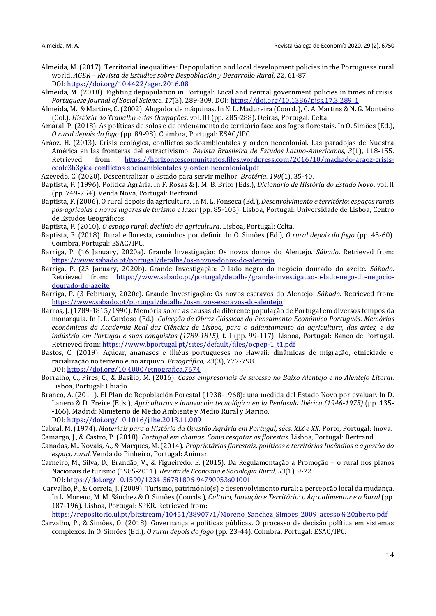- Almeida, M. (2017). Territorial inequalities: Depopulation and local development policies in the Portuguese rural world. *AGER – Revista de Estudios sobre Despoblación y Desarrollo Rural, 22*, 61-87. DOI:<https://doi.org/10.4422/ager.2016.08>
- Almeida, M. (2018). Fighting depopulation in Portugal: Local and central government policies in times of crisis. *Portuguese Journal of Social Science, 17*(3), 289-309. DOI: [https://doi.org/10.1386/pjss.17.3.289\\_1](https://doi.org/10.1386/pjss.17.3.289_1)
- Almeida, M., & Martins, C. (2002). Alugador de máquinas. In N. L. Madureira (Coord. ), C. A. Martins & N. G. Monteiro (Col.), *História do Trabalho e das Ocupações*, vol. III (pp. 285-288). Oeiras, Portugal: Celta.
- Amaral, P. (2018). As políticas de solos e de ordenamento do território face aos fogos florestais. In O. Simões (Ed.), *O rural depois do fogo* (pp. 89-98). Coimbra, Portugal: ESAC/IPC.
- Aráoz, H. (2013). Crisis ecológica, conflictos socioambientales y orden neocolonial. Las paradojas de Nuestra América en las fronteras del extractivismo. *Revista Brasileira de Estudos Latino-Americanos, 3*(1), 118-155. Retrieved from: [https://horizontescomunitarios.files.wordpress.com/2016/10/machado-araoz-crisis](https://horizontescomunitarios.files.wordpress.com/2016/10/machado-araoz-crisis-ecolc3b3gica-conflictos-socioambientales-y-orden-neocolonial.pdf)[ecolc3b3gica-conflictos-socioambientales-y-orden-neocolonial.pdf](https://horizontescomunitarios.files.wordpress.com/2016/10/machado-araoz-crisis-ecolc3b3gica-conflictos-socioambientales-y-orden-neocolonial.pdf)
- Azevedo, C. (2020). Descentralizar o Estado para servir melhor. *Brotéria, 190*(1), 35-40.
- Baptista, F. (1996). Política Agrária. In F. Rosas & J. M. B. Brito (Eds.), *Dicionário de História do Estado Novo*, vol. II (pp. 749-754). Venda Nova, Portugal: Bertrand.
- Baptista, F. (2006). O rural depois da agricultura. In M. L. Fonseca (Ed.), *Desenvolvimento e território: espaços rurais pós-agrícolas e novos lugares de turismo e lazer* (pp. 85-105). Lisboa, Portugal: Universidade de Lisboa, Centro de Estudos Geográficos.
- Baptista, F. (2010). *O espaço rural: declínio da agricultura*. Lisboa, Portugal: Celta.
- Baptista, F. (2018). Rural e floresta, caminhos por definir. In O. Simões (Ed.), *O rural depois do fogo* (pp. 45-60). Coimbra, Portugal: ESAC/IPC.
- Barriga, P. (16 January, 2020a). Grande Investigação: Os novos donos do Alentejo. *Sábado*. Retrieved from: <https://www.sabado.pt/portugal/detalhe/os-novos-donos-do-alentejo>
- Barriga, P. (23 January, 2020b). Grande Investigação: O lado negro do negócio dourado do azeite. *Sábado.*  Retrieved from: [https://www.sabado.pt/portugal/detalhe/grande-investigacao-o-lado-nego-do-negocio](https://www.sabado.pt/portugal/detalhe/grande-investigacao-o-lado-nego-do-negocio-dourado-do-azeite)[dourado-do-azeite](https://www.sabado.pt/portugal/detalhe/grande-investigacao-o-lado-nego-do-negocio-dourado-do-azeite)
- Barriga, P. (3 February, 2020c). Grande Investigação: Os novos escravos do Alentejo. *Sábado*. Retrieved from: <https://www.sabado.pt/portugal/detalhe/os-novos-escravos-do-alentejo>
- Barros, J. (1789-1815/1990). Memória sobre as causas da diferente população de Portugal em diversos tempos da monarquia. In J. L. Cardoso (Ed.), *Colecção de Obras Clássicas do Pensamento Económico Portugués*. *Memórias económicas da Academia Real das Ciências de Lisboa, para o adiantamento da agricultura, das artes, e da indústria em Portugal e suas conquistas (1789-1815)*, t. I (pp. 99-117). Lisboa, Portugal: Banco de Portugal. Retrieved from: [https://www.bportugal.pt/sites/default/files/ocpep-1\\_t1.pdf](https://www.bportugal.pt/sites/default/files/ocpep-1_t1.pdf)
- Bastos, C. (2019). Açúcar, ananases e ilhéus portugueses no Hawaii: dinâmicas de migração, etnicidade e racialização no terreno e no arquivo. *Etnográfica, 23*(3), 777-798. DOI:<https://doi.org/10.4000/etnografica.7674>
- Borralho, C., Pires, C., & Basílio, M. (2016). *Casos empresariais de sucesso no Baixo Alentejo e no Alentejo Litoral*. Lisboa, Portugal: Chiado.
- Branco, A. (2011). El Plan de Repoblación Forestal (1938-1968): una medida del Estado Novo por evaluar. In D. Lanero & D. Freire (Eds.), *Agriculturas e innovación tecnológica en la Península Ibérica (1946-1975)* (pp. 135- -166). Madrid: Ministerio de Medio Ambiente y Medio Rural y Marino. DOI:<https://doi.org/10.1016/j.ihe.2013.11.009>
- Cabral, M. (1974). *Materiais para a História da Questão Agrária em Portugal, sécs. XIX e XX*. Porto, Portugal: Inova.
- Camargo, J., & Castro, P. (2018). *Portugal em chamas. Como resgatar as florestas*. Lisboa, Portugal: Bertrand.
- Canadas, M., Novais, A., & Marques, M. (2014). *Proprietários florestais, políticas e territórios Incêndios e a gestão do espaço rural.* Venda do Pinheiro, Portugal: Animar.
- Carneiro, M., Silva, D., Brandão, V., & Figueiredo, E. (2015). Da Regulamentação à Promoção o rural nos planos Nacionais de turismo (1985-2011). *Revista de Economia e Sociologia Rural, 53*(1), 9-22. DOI[: https://doi.org/10.1590/1234-56781806-94790053s01001](https://doi.org/10.1590/1234-56781806-94790053s01001)
- Carvalho, P., & Correia, J. (2009). Turismo, património(s) e desenvolvimento rural: a percepção local da mudança. In L. Moreno, M. M. Sánchez & O. Simões (Coords.), *Cultura, Inovação e Território: o Agroalimentar e o Rural* (pp. 187-196). Lisboa, Portugal: SPER. Retrieved from:

[https://repositorio.ul.pt/bitstream/10451/38907/1/Moreno\\_Sanchez\\_Simoes\\_2009\\_acesso%20aberto.pdf](https://repositorio.ul.pt/bitstream/10451/38907/1/Moreno_Sanchez_Simoes_2009_acesso%20aberto.pdf)

Carvalho, P., & Simões, O. (2018). Governança e políticas públicas. O processo de decisão política em sistemas complexos. In O. Simões (Ed.), *O rural depois do fogo* (pp. 23-44). Coimbra, Portugal: ESAC/IPC.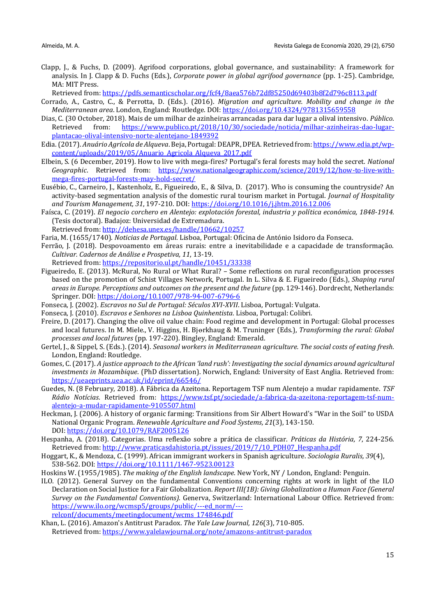Clapp, J., & Fuchs, D. (2009). Agrifood corporations, global governance, and sustainability: A framework for analysis. In J. Clapp & D. Fuchs (Eds.), *Corporate power in global agrifood governance* (pp. 1-25). Cambridge, MA: MIT Press.

Retrieved from:<https://pdfs.semanticscholar.org/fcf4/8aea576b72df85250d69403b8f2d796c8113.pdf>

- Corrado, A., Castro, C., & Perrotta, D. (Eds.). (2016). *Migration and agriculture. Mobility and change in the Mediterranean area*. London, England: Routledge. DOI[: https://doi.org/10.4324/9781315659558](https://doi.org/10.4324/9781315659558)
- Dias, C. (30 October, 2018). Mais de um milhar de azinheiras arrancadas para dar lugar a olival intensivo. *Público*. Retrieved from: [https://www.publico.pt/2018/10/30/sociedade/noticia/milhar-azinheiras-dao-lugar](https://www.publico.pt/2018/10/30/sociedade/noticia/milhar-azinheiras-dao-lugar-plantacao-olival-intensivo-norte-alentejano-1849392)[plantacao-olival-intensivo-norte-alentejano-1849392](https://www.publico.pt/2018/10/30/sociedade/noticia/milhar-azinheiras-dao-lugar-plantacao-olival-intensivo-norte-alentejano-1849392)
- Edia.(2017). *Anuário Agrícola de Alqueva*. Beja, Portugal: DEAPR, DPEA. Retrieved from[: https://www.edia.pt/wp](https://www.edia.pt/wp-content/uploads/2019/05/Anuario_Agricola_Alqueva_2017.pdf)[content/uploads/2019/05/Anuario\\_Agricola\\_Alqueva\\_2017.pdf](https://www.edia.pt/wp-content/uploads/2019/05/Anuario_Agricola_Alqueva_2017.pdf)
- Elbein, S. (6 December, 2019). How to live with mega-fires? Portugal's feral forests may hold the secret. *National Geographic*. Retrieved from: [https://www.nationalgeographic.com/science/2019/12/how-to-live-with](https://www.nationalgeographic.com/science/2019/12/how-to-live-with-mega-fires-portugal-forests-may-hold-secret/)[mega-fires-portugal-forests-may-hold-secret/](https://www.nationalgeographic.com/science/2019/12/how-to-live-with-mega-fires-portugal-forests-may-hold-secret/)
- Eusébio, C., Carneiro, J., Kastenholz, E., Figueiredo, E., & Silva, D. (2017). Who is consuming the countryside? An activity-based segmentation analysis of the domestic rural tourism market in Portugal. *Journal of Hospitality and Tourism Management, 31*, 197-210. DOI:<https://doi.org/10.1016/j.jhtm.2016.12.006>
- Faísca, C. (2019). *El negocio corchero en Alentejo: explotación forestal, industria y política económica, 1848-1914*. (Tesis doctoral). Badajoz: Universidad de Extremadura.
- Retrieved from:<http://dehesa.unex.es/handle/10662/10257>
- Faria, M. (1655/1740). *Noticias de Portugal*. Lisboa, Portugal: Oficina de António Isidoro da Fonseca.
- Ferrão, J. (2018). Despovoamento em áreas rurais: entre a inevitabilidade e a capacidade de transformação. *Cultivar. Cadernos de Análise e Prospetiva, 11*, 13-19.
	- Retrieved from:<https://repositorio.ul.pt/handle/10451/33338>
- Figueiredo, E. (2013). McRural, No Rural or What Rural? Some reflections on rural reconfiguration processes based on the promotion of Schist Villages Network, Portugal. In L. Silva & E. Figueiredo (Eds.), *Shaping rural areas in Europe. Perceptions and outcomes on the present and the future* (pp. 129-146). Dordrecht, Netherlands: Springer. DOI:<https://doi.org/10.1007/978-94-007-6796-6>
- Fonseca, J. (2002). *Escravos no Sul de Portugal: Séculos XVI-XVII*. Lisboa, Portugal: Vulgata.
- Fonseca, J. (2010). *Escravos e Senhores na Lisboa Quinhentista*. Lisboa, Portugal: Colibri.
- Freire, D. (2017). Changing the olive oil value chain: Food regime and development in Portugal: Global processes and local futures. In M. Miele., V. Higgins, H. Bjørkhaug & M. Truninger (Eds.), *Transforming the rural: Global processes and local futures* (pp. 197-220). Bingley, England: Emerald.
- Gertel, J., & Sippel, S. (Eds.). (2014). *Seasonal workers in Mediterranean agriculture. The social costs of eating fresh*. London, England: Routledge.
- Gomes, C. (2017). *A justice approach to the African 'land rush': Investigating the social dynamics around agricultural investments in Mozambique*. (PhD dissertation). Norwich, England: University of East Anglia. Retrieved from: <https://ueaeprints.uea.ac.uk/id/eprint/66546/>
- Guedes, N. (8 February, 2018). A Fábrica da Azeitona. Reportagem TSF num Alentejo a mudar rapidamente. *TSF Rádio Notícias*. Retrieved from: [https://www.tsf.pt/sociedade/a-fabrica-da-azeitona-reportagem-tsf-num](https://www.tsf.pt/sociedade/a-fabrica-da-azeitona-reportagem-tsf-num-alentejo-a-mudar-rapidamente-9105507.html)[alentejo-a-mudar-rapidamente-9105507.html](https://www.tsf.pt/sociedade/a-fabrica-da-azeitona-reportagem-tsf-num-alentejo-a-mudar-rapidamente-9105507.html)
- Heckman, J. (2006). A history of organic farming: Transitions from Sir Albert Howard's "War in the Soil" to USDA National Organic Program. *Renewable Agriculture and Food Systems, 21*(3), 143-150. DOI:<https://doi.org/10.1079/RAF2005126>
- Hespanha, A. (2018). Categorias. Uma reflexão sobre a prática de classificar. *Práticas da História, 7*, 224-256. Retrieved from: [http://www.praticasdahistoria.pt/issues/2019/7/10\\_PDH07\\_Hespanha.pdf](http://www.praticasdahistoria.pt/issues/2019/7/10_PDH07_Hespanha.pdf)
- Hoggart, K., & Mendoza, C. (1999). African immigrant workers in Spanish agriculture. *Sociologia Ruralis, 39*(4), 538-562. DOI:<https://doi.org/10.1111/1467-9523.00123>
- Hoskins W. (1955/1985). *The making of the English landscape*. New York, NY / London, England: Penguin.
- ILO. (2012). General Survey on the fundamental Conventions concerning rights at work in light of the ILO Declaration on Social Justice for a Fair Globalization. *Report III(1B): Giving Globalization a Human Face (General Survey on the Fundamental Conventions).* Generva, Switzerland: International Labour Office. Retrieved from: [https://www.ilo.org/wcmsp5/groups/public/---ed\\_norm/---](https://www.ilo.org/wcmsp5/groups/public/---ed_norm/---relconf/documents/meetingdocument/wcms_174846.pdf)

[relconf/documents/meetingdocument/wcms\\_174846.pdf](https://www.ilo.org/wcmsp5/groups/public/---ed_norm/---relconf/documents/meetingdocument/wcms_174846.pdf)

Khan, L. (2016). Amazon's Antitrust Paradox. *The Yale Law Journal, 126*(3), 710-805. Retrieved from:<https://www.yalelawjournal.org/note/amazons-antitrust-paradox>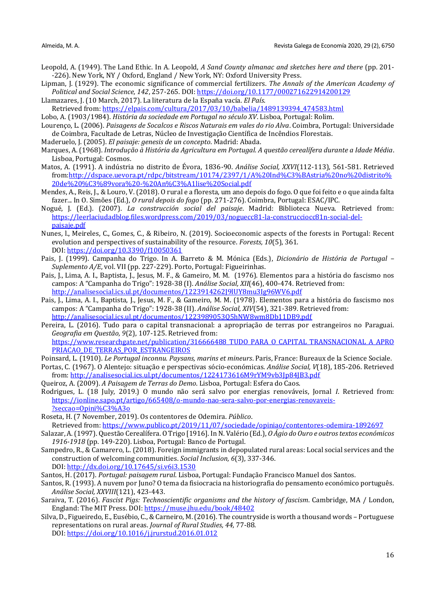- Leopold, A. (1949). The Land Ethic. In A. Leopold, *A Sand County almanac and sketches here and there* (pp. 201- -226). New York, NY / Oxford, England / New York, NY: Oxford University Press.
- Lipman, J. (1929). The economic significance of commercial fertilizers. *The Annals of the American Academy of Political and Social Science, 142*, 257-265. DOI[: https://doi.org/10.1177/000271622914200129](https://doi.org/10.1177%2F000271622914200129)
- Llamazares, J. (10 March, 2017). La literatura de la España vacía. *El País*. Retrieved from: [https://elpais.com/cultura/2017/03/10/babelia/1489139394\\_474583.html](https://elpais.com/cultura/2017/03/10/babelia/1489139394_474583.html)
- Lobo, A. (1903/1984). *História da sociedade em Portugal no século XV*. Lisboa, Portugal: Rolim.
- Lourenço, L. (2006). *Paisagens de Socalcos e Riscos Naturais em vales do rio Alva*. Coimbra, Portugal: Universidade de Coimbra, Facultade de Letras, Núcleo de Investigação Científica de Incêndios Florestais.
- Maderuelo, J. (2005). *El paisaje: genesis de un concepto*. Madrid: Abada.
- Marques, A. (1968). *Introdução à História da Agricultura em Portugal. A questão cerealífera durante a Idade Média*. Lisboa, Portugal: Cosmos.
- Matos, A. (1991). A indústria no distrito de Évora, 1836-90. *Análise Social, XXVI*(112-113), 561-581. Retrieved from[:http://dspace.uevora.pt/rdpc/bitstream/10174/2397/1/A%20Ind%C3%BAstria%20no%20distrito%](http://dspace.uevora.pt/rdpc/bitstream/10174/2397/1/A%20Ind%C3%BAstria%20no%20distrito%20de%20%C3%89vora%20-%20An%C3%A1lise%20Social.pdf) [20de%20%C3%89vora%20-%20An%C3%A1lise%20Social.pdf](http://dspace.uevora.pt/rdpc/bitstream/10174/2397/1/A%20Ind%C3%BAstria%20no%20distrito%20de%20%C3%89vora%20-%20An%C3%A1lise%20Social.pdf)
- Mendes, A., Reis, J., & Louro, V.(2018). O rural e a floresta, um ano depois do fogo. O que foi feito e o que ainda falta fazer... In O. Simões (Ed.), *O rural depois do fogo* (pp. 271-276). Coimbra, Portugal: ESAC/IPC.
- Nogué, J. (Ed.). (2007). *La construcción social del paisaje*. Madrid: Biblioteca Nueva. Retrieved from: [https://leerlaciudadblog.files.wordpress.com/2019/03/noguecc81-la-construcciocc81n-social-del](https://leerlaciudadblog.files.wordpress.com/2019/03/noguecc81-la-construcciocc81n-social-del-paisaje.pdf)[paisaje.pdf](https://leerlaciudadblog.files.wordpress.com/2019/03/noguecc81-la-construcciocc81n-social-del-paisaje.pdf)
- Nunes, l., Meireles, C., Gomes, C., & Ribeiro, N. (2019). Socioeconomic aspects of the forests in Portugal: Recent evolution and perspectives of sustainability of the resource. *Forests, 10*(5), 361. DOI: [https://doi.org/10.3390/f10050361](https://doi.org/10.3390/f10050361ç)
- Pais, J. (1999). Campanha do Trigo. In A. Barreto & M. Mónica (Eds.), *Dicionário de História de Portugal – Suplemento A/E*, vol. VII (pp. 227-229). Porto, Portugal: Figueirinhas.
- Pais, J., Lima, A. I., Baptista, J., Jesus, M. F., & Gameiro, M. M. (1976). Elementos para a história do fascismo nos campos: A "Campanha do Trigo": 1928-38 (I). *Análise Social, XII*(46), 400-474. Retrieved from: <http://analisesocial.ics.ul.pt/documentos/1223914262J9lUY8mu3Ig96WV6.pdf>
- Pais, J., Lima, A. I., Baptista, J., Jesus, M. F., & Gameiro, M. M. (1978). Elementos para a história do fascismo nos campos: A "Campanha do Trigo": 1928-38 (II). *Análise Social, XIV*(54), 321-389. Retrieved from: <http://analisesocial.ics.ul.pt/documentos/1223989053Q5hNW8wm8Db11DB9.pdf>
- Pereira, L. (2016). Tudo para o capital transnacional: a apropriação de terras por estrangeiros no Paraguai. *Geografia em Questão, 9*(2), 107-125. Retrieved from: [https://www.researchgate.net/publication/316666488\\_TUDO\\_PARA\\_O\\_CAPITAL\\_TRANSNACIONAL\\_A\\_APRO](https://www.researchgate.net/publication/316666488_TUDO_PARA_O_CAPITAL_TRANSNACIONAL_A_APROPRIACAO_DE_TERRAS_POR_ESTRANGEIROS) PRIACAO DE TERRAS POR ESTRANGEIROS
- Poinsard, L. (1910). *Le Portugal inconnu. Paysans, marins et mineurs*. Paris, France: Bureaux de la Science Sociale.
- Portas, C. (1967). O Alentejo: situação e perspectivas sócio-económicas. *Análise Social, V*(18), 185-206. Retrieved from[: http://analisesocial.ics.ul.pt/documentos/1224173616M9rYM9vb3Jp84JB3.pdf](http://analisesocial.ics.ul.pt/documentos/1224173616M9rYM9vb3Jp84JB3.pdf)
- Queiroz, A. (2009). *A Paisagem de Terras do Demo*. Lisboa, Portugal: Esfera do Caos.
- Rodrigues, L. (18 July, 2019.) O mundo não será salvo por energias renováveis, Jornal *I*. Retrieved from: [https://ionline.sapo.pt/artigo/665408/o-mundo-nao-sera-salvo-por-energias-renovaveis-](https://ionline.sapo.pt/artigo/665408/o-mundo-nao-sera-salvo-por-energias-renovaveis-?seccao=Opini%C3%A3o) [?seccao=Opini%C3%A3o](https://ionline.sapo.pt/artigo/665408/o-mundo-nao-sera-salvo-por-energias-renovaveis-?seccao=Opini%C3%A3o)
- Roseta, H. (7 November, 2019). Os contentores de Odemira. *Público*. Retrieved from:<https://www.publico.pt/2019/11/07/sociedade/opiniao/contentores-odemira-1892697>
- Salazar, A. (1997). Questão Cerealífera. O Trigo [1916]. In N. Valério (Ed.), *O Ágio do Ouro e outros textos económicos 1916-1918* (pp. 149-220). Lisboa, Portugal: Banco de Portugal.
- Sampedro, R., & Camarero, L. (2018). Foreign immigrants in depopulated rural areas: Local social services and the construction of welcoming communities. *Social Inclusion, 6*(3), 337-346. DOI:<http://dx.doi.org/10.17645/si.v6i3.1530>
- Santos, H. (2017). *Portugal: paisagem rural*. Lisboa, Portugal: Fundação Francisco Manuel dos Santos.
- Santos, R. (1993). A nuvem por Juno? O tema da fisiocracia na historiografia do pensamento económico português. *Análise Social, XXVIII*(121), 423-443.
- Saraiva, T. (2016). *Fascist Pigs: Technoscientific organisms and the history of fascism*. Cambridge, MA / London, England: The MIT Press. DOI[: https://muse.jhu.edu/book/48402](https://muse.jhu.edu/book/48402)
- Silva, D., Figueiredo, E., Eusébio, C., & Carneiro, M.(2016). The countryside is worth a thousand words Portuguese representations on rural areas. *Journal of Rural Studies, 44*, 77-88. DOI:<https://doi.org/10.1016/j.jrurstud.2016.01.012>